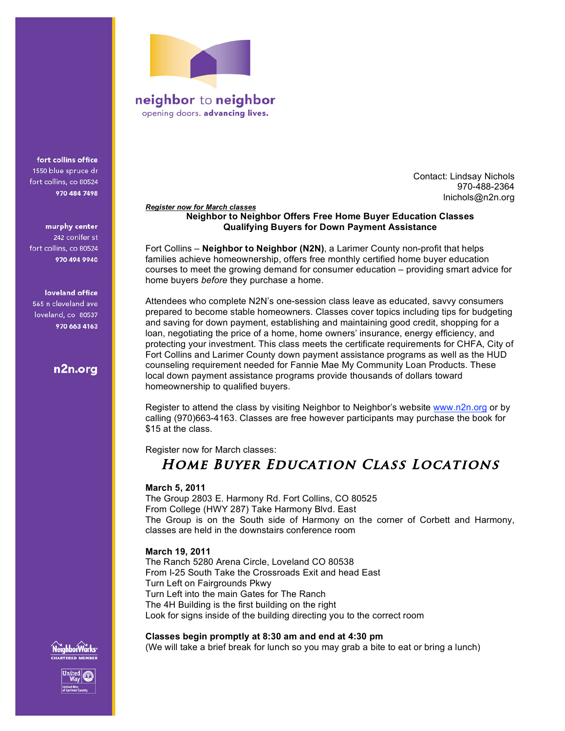

neighbor to neighbor opening doors. advancing lives.

fort collins office 1550 blue spruce dr fort collins, co 80524 970 484 7498

murphy center 242 conifer st fort collins, co 80524 970 494 9940

loveland office 565 n cleveland ave loveland, co 80537 970 663 4163

n2n.org

Contact: Lindsay Nichols 970-488-2364 lnichols@n2n.org

#### *Register now for March classes* **Neighbor to Neighbor Offers Free Home Buyer Education Classes Qualifying Buyers for Down Payment Assistance**

Fort Collins – **Neighbor to Neighbor (N2N)**, a Larimer County non-profit that helps families achieve homeownership, offers free monthly certified home buyer education courses to meet the growing demand for consumer education – providing smart advice for home buyers *before* they purchase a home.

Attendees who complete N2N's one-session class leave as educated, savvy consumers prepared to become stable homeowners. Classes cover topics including tips for budgeting and saving for down payment, establishing and maintaining good credit, shopping for a loan, negotiating the price of a home, home owners' insurance, energy efficiency, and protecting your investment. This class meets the certificate requirements for CHFA, City of Fort Collins and Larimer County down payment assistance programs as well as the HUD counseling requirement needed for Fannie Mae My Community Loan Products. These local down payment assistance programs provide thousands of dollars toward homeownership to qualified buyers.

Register to attend the class by visiting Neighbor to Neighbor's website www.n2n.org or by calling (970)663-4163. Classes are free however participants may purchase the book for \$15 at the class.

Register now for March classes:

# **Home Buyer Education Class Locations**

# **March 5, 2011**

The Group 2803 E. Harmony Rd. Fort Collins, CO 80525 From College (HWY 287) Take Harmony Blvd. East The Group is on the South side of Harmony on the corner of Corbett and Harmony, classes are held in the downstairs conference room

### **March 19, 2011**

The Ranch 5280 Arena Circle, Loveland CO 80538 From I-25 South Take the Crossroads Exit and head East Turn Left on Fairgrounds Pkwy Turn Left into the main Gates for The Ranch The 4H Building is the first building on the right Look for signs inside of the building directing you to the correct room

### **Classes begin promptly at 8:30 am and end at 4:30 pm**

(We will take a brief break for lunch so you may grab a bite to eat or bring a lunch)